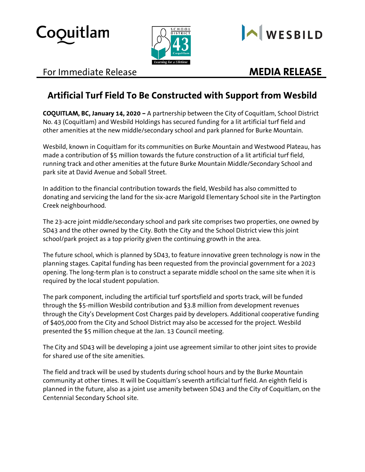





## For Immediate Release **MEDIA RELEASE**

# **Artificial Turf Field To Be Constructed with Support from Wesbild**

**COQUITLAM, BC, January 14, 2020 –** A partnership between the City of Coquitlam, School District No. 43 (Coquitlam) and Wesbild Holdings has secured funding for a lit artificial turf field and other amenities at the new middle/secondary school and park planned for Burke Mountain.

Wesbild, known in Coquitlam for its communities on Burke Mountain and Westwood Plateau, has made a contribution of \$5 million towards the future construction of a lit artificial turf field, running track and other amenities at the future Burke Mountain Middle/Secondary School and park site at David Avenue and Soball Street.

In addition to the financial contribution towards the field, Wesbild has also committed to donating and servicing the land for the six-acre Marigold Elementary School site in the Partington Creek neighbourhood.

The 23-acre joint middle/secondary school and park site comprises two properties, one owned by SD43 and the other owned by the City. Both the City and the School District view this joint school/park project as a top priority given the continuing growth in the area.

The future school, which is planned by SD43, to feature innovative green technology is now in the planning stages. Capital funding has been requested from the provincial government for a 2023 opening. The long-term plan is to construct a separate middle school on the same site when it is required by the local student population.

The park component, including the artificial turf sportsfield and sports track, will be funded through the \$5-million Wesbild contribution and \$3.8 million from development revenues through the City's Development Cost Charges paid by developers. Additional cooperative funding of \$405,000 from the City and School District may also be accessed for the project. Wesbild presented the \$5 million cheque at the Jan. 13 Council meeting.

The City and SD43 will be developing a joint use agreement similar to other joint sites to provide for shared use of the site amenities.

The field and track will be used by students during school hours and by the Burke Mountain community at other times. It will be Coquitlam's seventh artificial turf field. An eighth field is planned in the future, also as a joint use amenity between SD43 and the City of Coquitlam, on the Centennial Secondary School site.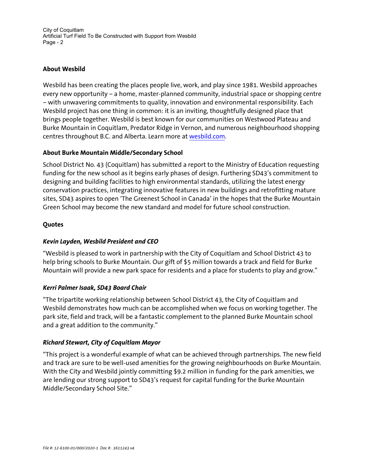City of Coquitlam Artificial Turf Field To Be Constructed with Support from Wesbild Page - 2

### **About Wesbild**

Wesbild has been creating the places people live, work, and play since 1981. Wesbild approaches every new opportunity – a home, master-planned community, industrial space or shopping centre – with unwavering commitments to quality, innovation and environmental responsibility. Each Wesbild project has one thing in common: it is an inviting, thoughtfully designed place that brings people together. Wesbild is best known for our communities on Westwood Plateau and Burke Mountain in Coquitlam, Predator Ridge in Vernon, and numerous neighbourhood shopping centres throughout B.C. and Alberta. Learn more at [wesbild.com.](http://wesbild.com/)

#### **About Burke Mountain Middle/Secondary School**

School District No. 43 (Coquitlam) has submitted a report to the Ministry of Education requesting funding for the new school as it begins early phases of design. Furthering SD43's commitment to designing and building facilities to high environmental standards, utilizing the latest energy conservation practices, integrating innovative features in new buildings and retrofitting mature sites, SD43 aspires to open 'The Greenest School in Canada' in the hopes that the Burke Mountain Green School may become the new standard and model for future school construction.

#### **Quotes**

#### *Kevin Layden, Wesbild President and CEO*

"Wesbild is pleased to work in partnership with the City of Coquitlam and School District 43 to help bring schools to Burke Mountain. Our gift of \$5 million towards a track and field for Burke Mountain will provide a new park space for residents and a place for students to play and grow."

#### *Kerri Palmer Isaak, SD43 Board Chair*

"The tripartite working relationship between School District 43, the City of Coquitlam and Wesbild demonstrates how much can be accomplished when we focus on working together. The park site, field and track, will be a fantastic complement to the planned Burke Mountain school and a great addition to the community."

#### *Richard Stewart, City of Coquitlam Mayor*

"This project is a wonderful example of what can be achieved through partnerships. The new field and track are sure to be well-used amenities for the growing neighbourhoods on Burke Mountain. With the City and Wesbild jointly committing \$9.2 million in funding for the park amenities, we are lending our strong support to SD43's request for capital funding for the Burke Mountain Middle/Secondary School Site."